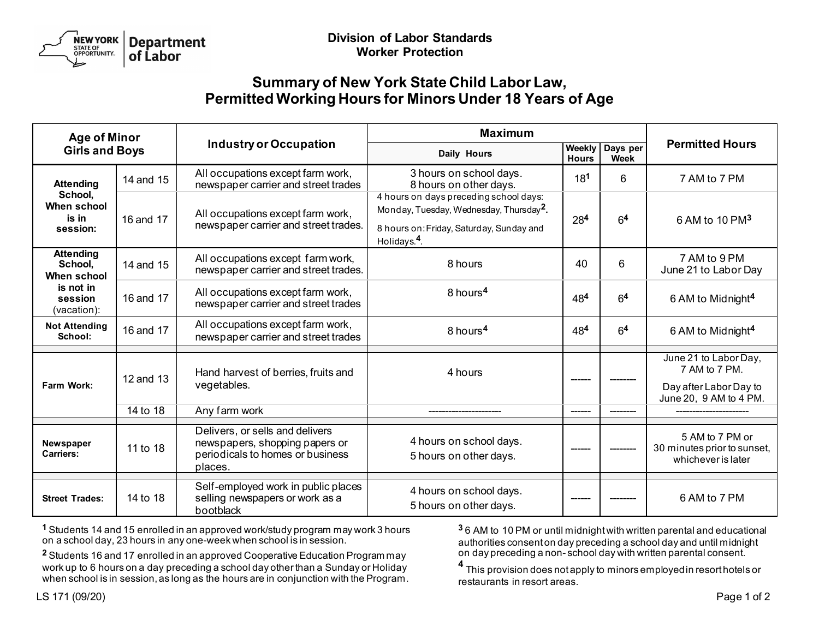

## **Summary of New York State Child Labor Law, Permitted Working Hours for Minors Under 18 Years of Age**

| <b>Age of Minor</b><br><b>Girls and Boys</b>                    |           | <b>Industry or Occupation</b>                                                                                    | <b>Maximum</b>                                                                                                                                                        |                        |                         |                                                                                            |
|-----------------------------------------------------------------|-----------|------------------------------------------------------------------------------------------------------------------|-----------------------------------------------------------------------------------------------------------------------------------------------------------------------|------------------------|-------------------------|--------------------------------------------------------------------------------------------|
|                                                                 |           |                                                                                                                  | Daily Hours                                                                                                                                                           | Weekly<br><b>Hours</b> | Days per<br><b>Week</b> | <b>Permitted Hours</b>                                                                     |
| <b>Attending</b><br>School,<br>When school<br>is in<br>session: | 14 and 15 | All occupations except farm work,<br>newspaper carrier and street trades                                         | 3 hours on school days.<br>8 hours on other days.                                                                                                                     | 181                    | 6                       | 7 AM to 7 PM                                                                               |
|                                                                 | 16 and 17 | All occupations except farm work,<br>newspaper carrier and street trades.                                        | 4 hours on days preceding school days:<br>Monday, Tuesday, Wednesday, Thursday <sup>2</sup> .<br>8 hours on: Friday, Saturday, Sunday and<br>Holidays. <sup>4</sup> . | 284                    | 6 <sup>4</sup>          | 6 AM to 10 PM <sup>3</sup>                                                                 |
| <b>Attending</b><br>School,<br>When school                      | 14 and 15 | All occupations except farm work,<br>newspaper carrier and street trades.                                        | 8 hours                                                                                                                                                               | 40                     | 6                       | 7 AM to 9 PM<br>June 21 to Labor Day                                                       |
| is not in<br>session<br>(vacation):                             | 16 and 17 | All occupations except farm work,<br>newspaper carrier and street trades                                         | 8 hours <sup>4</sup>                                                                                                                                                  | 484                    | 6 <sup>4</sup>          | 6 AM to Midnight <sup>4</sup>                                                              |
| <b>Not Attending</b><br>School:                                 | 16 and 17 | All occupations except farm work,<br>newspaper carrier and street trades                                         | 8 hours <sup>4</sup>                                                                                                                                                  | 484                    | 6 <sup>4</sup>          | 6 AM to Midnight <sup>4</sup>                                                              |
| Farm Work:                                                      | 12 and 13 | Hand harvest of berries, fruits and<br>vegetables.                                                               | 4 hours                                                                                                                                                               |                        |                         | June 21 to Labor Day,<br>7 AM to 7 PM.<br>Day after Labor Day to<br>June 20, 9 AM to 4 PM. |
|                                                                 | 14 to 18  | Any farm work                                                                                                    |                                                                                                                                                                       | $\frac{1}{1}$          |                         |                                                                                            |
| <b>Newspaper</b><br>Carriers:                                   | 11 to 18  | Delivers, or sells and delivers<br>newspapers, shopping papers or<br>periodicals to homes or business<br>places. | 4 hours on school days.<br>5 hours on other days.                                                                                                                     |                        |                         | 5 AM to 7 PM or<br>30 minutes prior to sunset,<br>whichever is later                       |
| <b>Street Trades:</b>                                           | 14 to 18  | Self-employed work in public places<br>selling newspapers or work as a<br>bootblack                              | 4 hours on school days.<br>5 hours on other days.                                                                                                                     |                        |                         | 6 AM to 7 PM                                                                               |

**1** Students 14 and 15 enrolled in an approved work/study program may work 3 hours on a school day, 23 hours in any one-week when school is in session.

**2** Students 16 and 17 enrolled in an approved Cooperative Education Program may work up to 6 hours on a day preceding a school day other than a Sunday or Holiday when school is in session, as long as the hours are in conjunction with the Program. **3** 6 AM to 10 PM or until midnight with written parental and educational authorities consent on day preceding a school day and until midnight on day preceding a non- school day with written parental consent.

**<sup>4</sup>** This provision does not apply to minors employed in resort hotels or restaurants in resort areas.